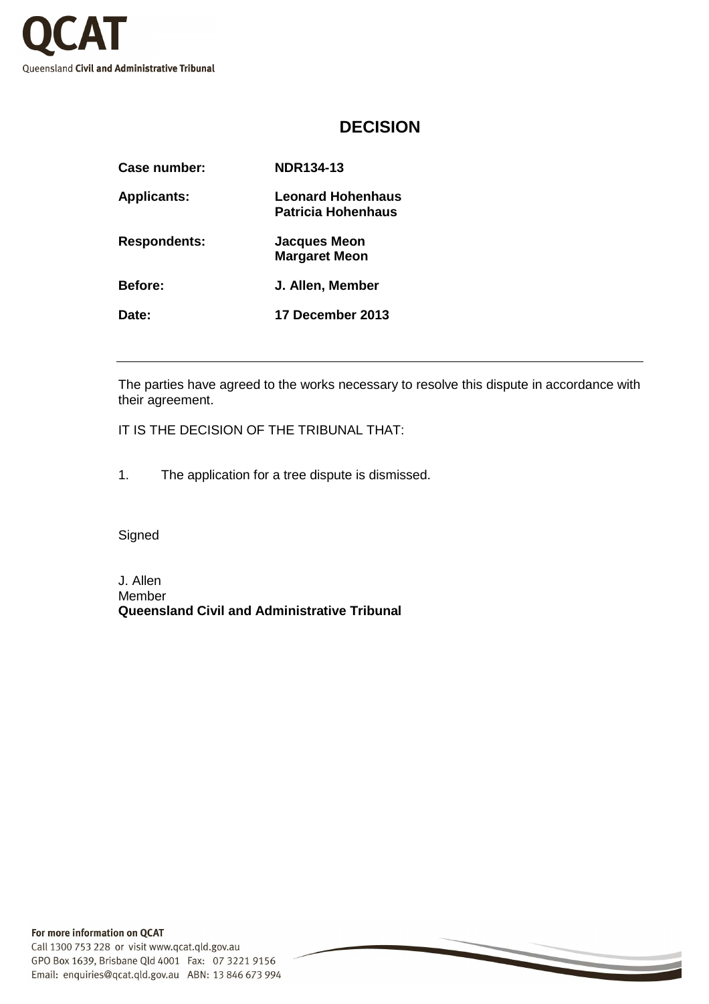

## **DECISION**

| <b>Case number:</b> | <b>NDR134-13</b>                                      |
|---------------------|-------------------------------------------------------|
| <b>Applicants:</b>  | <b>Leonard Hohenhaus</b><br><b>Patricia Hohenhaus</b> |
| <b>Respondents:</b> | <b>Jacques Meon</b><br><b>Margaret Meon</b>           |
| <b>Before:</b>      | J. Allen, Member                                      |
| Date:               | 17 December 2013                                      |
|                     |                                                       |

The parties have agreed to the works necessary to resolve this dispute in accordance with their agreement.

IT IS THE DECISION OF THE TRIBUNAL THAT:

1. The application for a tree dispute is dismissed.

**Signed** 

J. Allen Member **Queensland Civil and Administrative Tribunal**